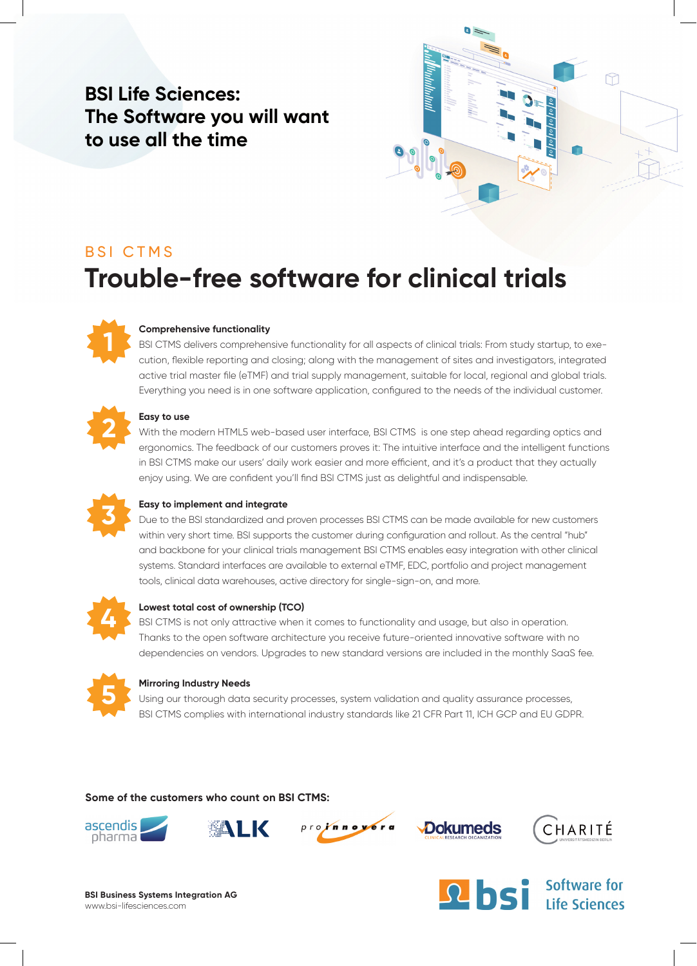## **BSI Life Sciences: The Software you will want to use all the time**



# BSI CTMS **Trouble-free software for clinical trials**



#### **Comprehensive functionality**

BSI CTMS delivers comprehensive functionality for all aspects of clinical trials: From study startup, to execution, flexible reporting and closing; along with the management of sites and investigators, integrated active trial master file (eTMF) and trial supply management, suitable for local, regional and global trials. Everything you need is in one software application, configured to the needs of the individual customer.

#### **Easy to use**

With the modern HTML5 web-based user interface, BSI CTMS is one step ahead regarding optics and ergonomics. The feedback of our customers proves it: The intuitive interface and the intelligent functions in BSI CTMS make our users' daily work easier and more efficient, and it's a product that they actually enjoy using. We are confident you'll find BSI CTMS just as delightful and indispensable.



#### **Easy to implement and integrate**

Due to the BSI standardized and proven processes BSI CTMS can be made available for new customers within very short time. BSI supports the customer during configuration and rollout. As the central "hub" and backbone for your clinical trials management BSI CTMS enables easy integration with other clinical systems. Standard interfaces are available to external eTMF, EDC, portfolio and project management tools, clinical data warehouses, active directory for single-sign-on, and more.



#### **Lowest total cost of ownership (TCO)**

BSI CTMS is not only attractive when it comes to functionality and usage, but also in operation. Thanks to the open software architecture you receive future-oriented innovative software with no dependencies on vendors. Upgrades to new standard versions are included in the monthly SaaS fee.



#### **Mirroring Industry Needs**

Using our thorough data security processes, system validation and quality assurance processes, BSI CTMS complies with international industry standards like 21 CFR Part 11, ICH GCP and EU GDPR.

**Some of the customers who count on BSI CTMS:**











**BSI Business Systems Integration AG** www.bsi-lifesciences.com